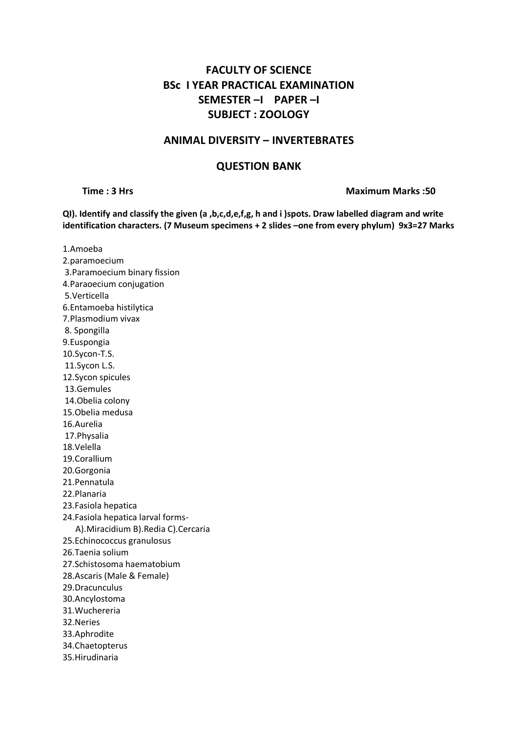# **FACULTY OF SCIENCE BSc I YEAR PRACTICAL EXAMINATION SEMESTER –I PAPER –I SUBJECT : ZOOLOGY**

### **ANIMAL DIVERSITY – INVERTEBRATES**

### **QUESTION BANK**

**Time : 3 Hrs Maximum Marks :50**

**QI). Identify and classify the given (a ,b,c,d,e,f,g, h and i )spots. Draw labelled diagram and write identification characters. (7 Museum specimens + 2 slides –one from every phylum) 9x3=27 Marks**

1.Amoeba 2.paramoecium 3.Paramoecium binary fission 4.Paraoecium conjugation 5.Verticella 6.Entamoeba histilytica 7.Plasmodium vivax 8. Spongilla 9.Euspongia 10.Sycon-T.S. 11.Sycon L.S. 12.Sycon spicules 13.Gemules 14.Obelia colony 15.Obelia medusa 16.Aurelia 17.Physalia 18.Velella 19.Corallium 20.Gorgonia 21.Pennatula 22.Planaria 23.Fasiola hepatica 24.Fasiola hepatica larval forms- A).Miracidium B).Redia C).Cercaria 25.Echinococcus granulosus 26.Taenia solium 27.Schistosoma haematobium 28.Ascaris (Male & Female) 29.Dracunculus 30.Ancylostoma 31.Wuchereria 32.Neries 33.Aphrodite 34.Chaetopterus 35.Hirudinaria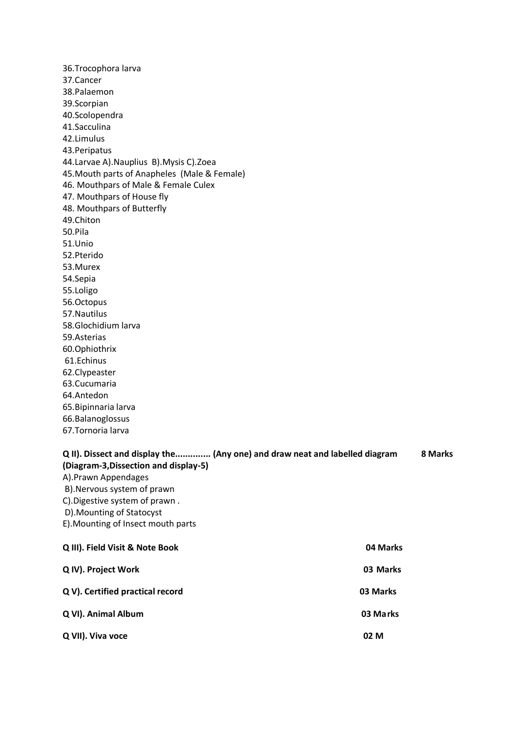36.Trocophora larva 37.Cancer 38.Palaemon 39.Scorpian 40.Scolopendra 41.Sacculina 42.Limulus 43.Peripatus 44.Larvae A).Nauplius B).Mysis C).Zoea 45.Mouth parts of Anapheles (Male & Female) 46. Mouthpars of Male & Female Culex 47. Mouthpars of House fly 48. Mouthpars of Butterfly 49.Chiton 50.Pila 51.Unio 52.Pterido 53.Murex 54.Sepia 55.Loligo 56.Octopus 57.Nautilus 58.Glochidium larva 59.Asterias 60.Ophiothrix 61.Echinus 62.Clypeaster 63.Cucumaria 64.Antedon 65.Bipinnaria larva 66.Balanoglossus 67.Tornoria larva **Q II). Dissect and display the.............. (Any one) and draw neat and labelled diagram 8 Marks (Diagram-3,Dissection and display-5)**  A).Prawn Appendages

- B).Nervous system of prawn C).Digestive system of prawn .
- 
- D).Mounting of Statocyst E).Mounting of Insect mouth parts

| Q III). Field Visit & Note Book  | 04 Marks |
|----------------------------------|----------|
| Q IV). Project Work              | 03 Marks |
| Q V). Certified practical record | 03 Marks |
| Q VI). Animal Album              | 03 Marks |
| Q VII). Viva voce                | 02 M     |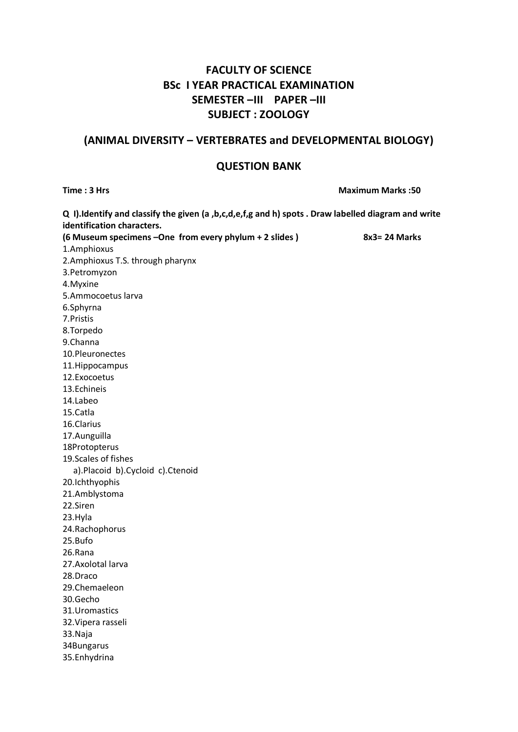## **FACULTY OF SCIENCE BSc I YEAR PRACTICAL EXAMINATION SEMESTER –III PAPER –III SUBJECT : ZOOLOGY**

### **(ANIMAL DIVERSITY – VERTEBRATES and DEVELOPMENTAL BIOLOGY)**

#### **QUESTION BANK**

**Time : 3 Hrs Maximum Marks :50 Q I).Identify and classify the given (a ,b,c,d,e,f,g and h) spots . Draw labelled diagram and write identification characters. (6 Museum specimens –One from every phylum + 2 slides ) 8x3= 24 Marks** 1.Amphioxus 2.Amphioxus T.S. through pharynx 3.Petromyzon 4.Myxine 5.Ammocoetus larva 6.Sphyrna 7.Pristis 8.Torpedo 9.Channa 10.Pleuronectes 11.Hippocampus 12.Exocoetus 13.Echineis 14.Labeo 15.Catla 16.Clarius 17.Aunguilla 18Protopterus 19.Scales of fishes a).Placoid b).Cycloid c).Ctenoid 20.Ichthyophis 21.Amblystoma 22.Siren 23.Hyla 24.Rachophorus 25.Bufo 26.Rana 27.Axolotal larva 28.Draco 29.Chemaeleon 30.Gecho 31.Uromastics 32.Vipera rasseli 33.Naja 34Bungarus 35.Enhydrina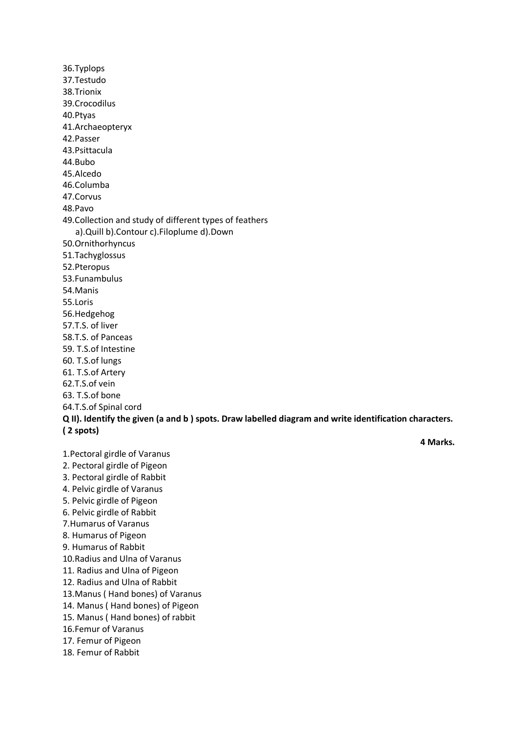36.Typlops 37.Testudo 38.Trionix 39.Crocodilus 40.Ptyas 41.Archaeopteryx 42.Passer 43.Psittacula 44.Bubo 45.Alcedo 46.Columba 47.Corvus 48.Pavo 49.Collection and study of different types of feathers a).Quill b).Contour c).Filoplume d).Down 50.Ornithorhyncus 51.Tachyglossus 52.Pteropus 53.Funambulus 54.Manis 55.Loris 56.Hedgehog 57.T.S. of liver 58.T.S. of Panceas 59. T.S.of Intestine 60. T.S.of lungs 61. T.S.of Artery 62.T.S.of vein 63. T.S.of bone 64.T.S.of Spinal cord **Q II). Identify the given (a and b ) spots. Draw labelled diagram and write identification characters. ( 2 spots) 4 Marks.**

1.Pectoral girdle of Varanus 2. Pectoral girdle of Pigeon 3. Pectoral girdle of Rabbit 4. Pelvic girdle of Varanus 5. Pelvic girdle of Pigeon 6. Pelvic girdle of Rabbit 7.Humarus of Varanus 8. Humarus of Pigeon 9. Humarus of Rabbit 10.Radius and Ulna of Varanus 11. Radius and Ulna of Pigeon 12. Radius and Ulna of Rabbit 13.Manus ( Hand bones) of Varanus 14. Manus ( Hand bones) of Pigeon 15. Manus ( Hand bones) of rabbit 16.Femur of Varanus 17. Femur of Pigeon 18. Femur of Rabbit